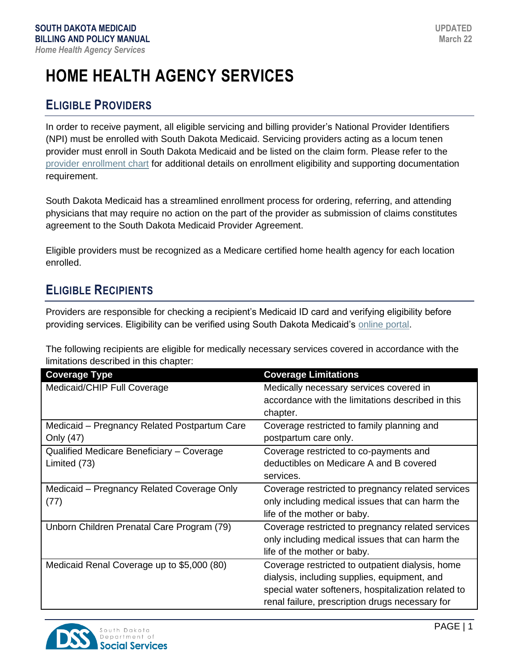# **HOME HEALTH AGENCY SERVICES**

# **ELIGIBLE PROVIDERS**

In order to receive payment, all eligible servicing and billing provider's National Provider Identifiers (NPI) must be enrolled with South Dakota Medicaid. Servicing providers acting as a locum tenen provider must enroll in South Dakota Medicaid and be listed on the claim form. Please refer to the [provider enrollment chart](https://dss.sd.gov/docs/medicaid/providers/ProviderChart.pdf) for additional details on enrollment eligibility and supporting documentation requirement.

South Dakota Medicaid has a streamlined enrollment process for ordering, referring, and attending physicians that may require no action on the part of the provider as submission of claims constitutes agreement to the South Dakota Medicaid Provider Agreement.

Eligible providers must be recognized as a Medicare certified home health agency for each location enrolled.

# **ELIGIBLE RECIPIENTS**

Providers are responsible for checking a recipient's Medicaid ID card and verifying eligibility before providing services. Eligibility can be verified using South Dakota Medicaid's [online portal.](https://dss.sd.gov/medicaid/portal.aspx)

The following recipients are eligible for medically necessary services covered in accordance with the limitations described in this chapter:

| <b>Coverage Type</b>                                      | <b>Coverage Limitations</b>                                                                                                                                                                                |
|-----------------------------------------------------------|------------------------------------------------------------------------------------------------------------------------------------------------------------------------------------------------------------|
| Medicaid/CHIP Full Coverage                               | Medically necessary services covered in<br>accordance with the limitations described in this<br>chapter.                                                                                                   |
| Medicaid – Pregnancy Related Postpartum Care<br>Only (47) | Coverage restricted to family planning and<br>postpartum care only.                                                                                                                                        |
| Qualified Medicare Beneficiary - Coverage<br>Limited (73) | Coverage restricted to co-payments and<br>deductibles on Medicare A and B covered<br>services.                                                                                                             |
| Medicaid – Pregnancy Related Coverage Only<br>(77)        | Coverage restricted to pregnancy related services<br>only including medical issues that can harm the<br>life of the mother or baby.                                                                        |
| Unborn Children Prenatal Care Program (79)                | Coverage restricted to pregnancy related services<br>only including medical issues that can harm the<br>life of the mother or baby.                                                                        |
| Medicaid Renal Coverage up to \$5,000 (80)                | Coverage restricted to outpatient dialysis, home<br>dialysis, including supplies, equipment, and<br>special water softeners, hospitalization related to<br>renal failure, prescription drugs necessary for |

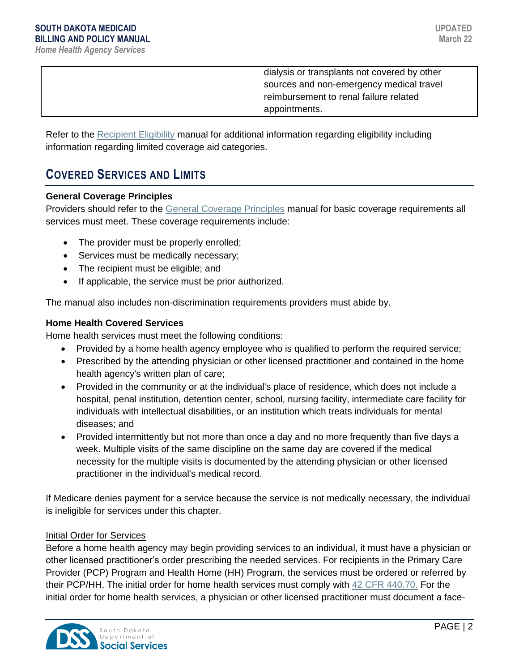dialysis or transplants not covered by other sources and non-emergency medical travel reimbursement to renal failure related appointments.

Refer to the [Recipient Eligibility](https://dss.sd.gov/docs/medicaid/providers/billingmanuals/General/Recipient_Eligibility.pdf) manual for additional information regarding eligibility including information regarding limited coverage aid categories.

# **COVERED SERVICES AND LIMITS**

#### **General Coverage Principles**

Providers should refer to the [General Coverage Principles](https://dss.sd.gov/docs/medicaid/providers/billingmanuals/General/General_Coverage_Principles.pdf) manual for basic coverage requirements all services must meet. These coverage requirements include:

- The provider must be properly enrolled;
- Services must be medically necessary;
- The recipient must be eligible; and
- If applicable, the service must be prior authorized.

The manual also includes non-discrimination requirements providers must abide by.

#### **Home Health Covered Services**

Home health services must meet the following conditions:

- Provided by a home health agency employee who is qualified to perform the required service;
- Prescribed by the attending physician or other licensed practitioner and contained in the home health agency's written plan of care;
- Provided in the community or at the individual's place of residence, which does not include a hospital, penal institution, detention center, school, nursing facility, intermediate care facility for individuals with intellectual disabilities, or an institution which treats individuals for mental diseases; and
- Provided intermittently but not more than once a day and no more frequently than five days a week. Multiple visits of the same discipline on the same day are covered if the medical necessity for the multiple visits is documented by the attending physician or other licensed practitioner in the individual's medical record.

If Medicare denies payment for a service because the service is not medically necessary, the individual is ineligible for services under this chapter.

#### Initial Order for Services

Before a home health agency may begin providing services to an individual, it must have a physician or other licensed practitioner's order prescribing the needed services. For recipients in the Primary Care Provider (PCP) Program and Health Home (HH) Program, the services must be ordered or referred by their PCP/HH. The initial order for home health services must comply with [42 CFR 440.70.](https://www.ecfr.gov/cgi-bin/text-idx?SID=59e26fdd18988e395fbb3be9ad87935b&mc=true&node=se42.4.440_170&rgn=div8) For the initial order for home health services, a physician or other licensed practitioner must document a face-

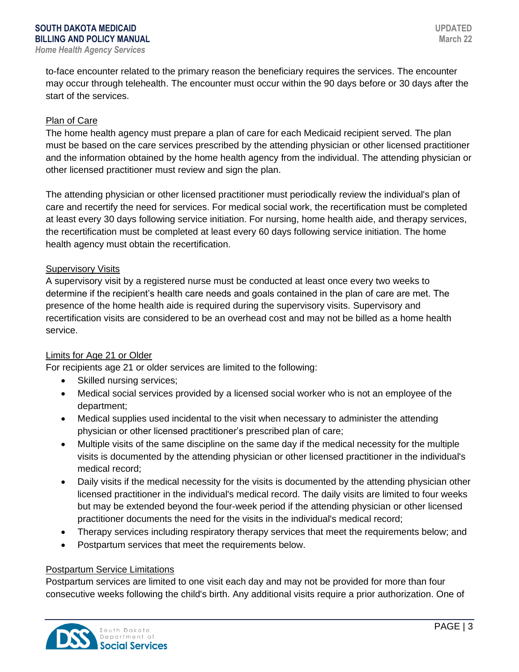to-face encounter related to the primary reason the beneficiary requires the services. The encounter may occur through telehealth. The encounter must occur within the 90 days before or 30 days after the start of the services.

#### Plan of Care

The home health agency must prepare a plan of care for each Medicaid recipient served. The plan must be based on the care services prescribed by the attending physician or other licensed practitioner and the information obtained by the home health agency from the individual. The attending physician or other licensed practitioner must review and sign the plan.

The attending physician or other licensed practitioner must periodically review the individual's plan of care and recertify the need for services. For medical social work, the recertification must be completed at least every 30 days following service initiation. For nursing, home health aide, and therapy services, the recertification must be completed at least every 60 days following service initiation. The home health agency must obtain the recertification.

#### Supervisory Visits

A supervisory visit by a registered nurse must be conducted at least once every two weeks to determine if the recipient's health care needs and goals contained in the plan of care are met. The presence of the home health aide is required during the supervisory visits. Supervisory and recertification visits are considered to be an overhead cost and may not be billed as a home health service.

#### Limits for Age 21 or Older

For recipients age 21 or older services are limited to the following:

- Skilled nursing services;
- Medical social services provided by a licensed social worker who is not an employee of the department;
- Medical supplies used incidental to the visit when necessary to administer the attending physician or other licensed practitioner's prescribed plan of care;
- Multiple visits of the same discipline on the same day if the medical necessity for the multiple visits is documented by the attending physician or other licensed practitioner in the individual's medical record;
- Daily visits if the medical necessity for the visits is documented by the attending physician other licensed practitioner in the individual's medical record. The daily visits are limited to four weeks but may be extended beyond the four-week period if the attending physician or other licensed practitioner documents the need for the visits in the individual's medical record;
- Therapy services including respiratory therapy services that meet the requirements below; and
- Postpartum services that meet the requirements below.

#### Postpartum Service Limitations

Postpartum services are limited to one visit each day and may not be provided for more than four consecutive weeks following the child's birth. Any additional visits require a prior authorization. One of

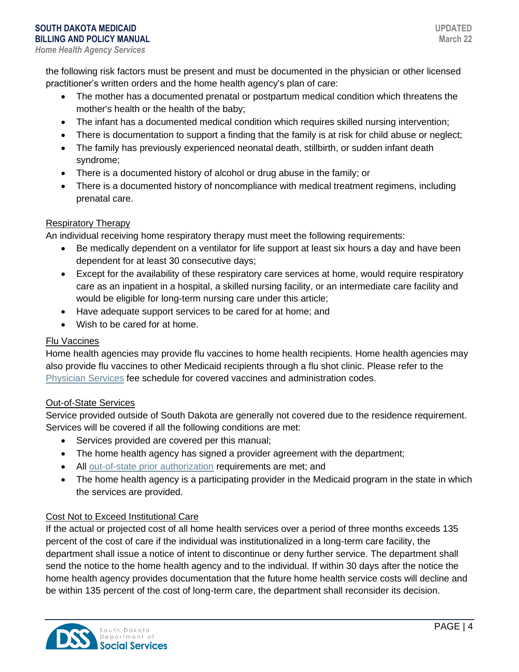the following risk factors must be present and must be documented in the physician or other licensed practitioner's written orders and the home health agency's plan of care:

- The mother has a documented prenatal or postpartum medical condition which threatens the mother's health or the health of the baby;
- The infant has a documented medical condition which requires skilled nursing intervention;
- There is documentation to support a finding that the family is at risk for child abuse or neglect;
- The family has previously experienced neonatal death, stillbirth, or sudden infant death syndrome;
- There is a documented history of alcohol or drug abuse in the family; or
- There is a documented history of noncompliance with medical treatment regimens, including prenatal care.

### Respiratory Therapy

An individual receiving home respiratory therapy must meet the following requirements:

- Be medically dependent on a ventilator for life support at least six hours a day and have been dependent for at least 30 consecutive days;
- Except for the availability of these respiratory care services at home, would require respiratory care as an inpatient in a hospital, a skilled nursing facility, or an intermediate care facility and would be eligible for long-term nursing care under this article;
- Have adequate support services to be cared for at home; and
- Wish to be cared for at home.

### Flu Vaccines

Home health agencies may provide flu vaccines to home health recipients. Home health agencies may also provide flu vaccines to other Medicaid recipients through a flu shot clinic. Please refer to the [Physician Services](https://dss.sd.gov/medicaid/providers/feeschedules/dss/) fee schedule for covered vaccines and administration codes.

### Out-of-State Services

Service provided outside of South Dakota are generally not covered due to the residence requirement. Services will be covered if all the following conditions are met:

- Services provided are covered per this manual;
- The home health agency has signed a provider agreement with the department;
- All [out-of-state prior authorization](http://dss.sd.gov/medicaid/providers/pa/) requirements are met; and
- The home health agency is a participating provider in the Medicaid program in the state in which the services are provided.

### Cost Not to Exceed Institutional Care

If the actual or projected cost of all home health services over a period of three months exceeds 135 percent of the cost of care if the individual was institutionalized in a long-term care facility, the department shall issue a notice of intent to discontinue or deny further service. The department shall send the notice to the home health agency and to the individual. If within 30 days after the notice the home health agency provides documentation that the future home health service costs will decline and be within 135 percent of the cost of long-term care, the department shall reconsider its decision.

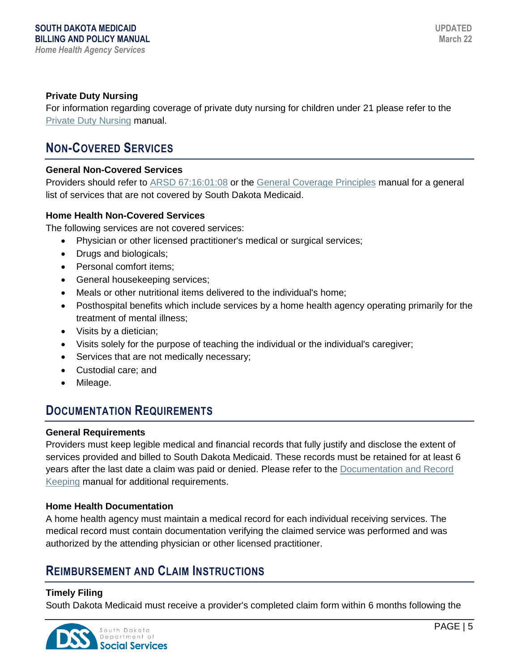### **Private Duty Nursing**

For information regarding coverage of private duty nursing for children under 21 please refer to the [Private Duty Nursing](https://dss.sd.gov/docs/medicaid/providers/billingmanuals/Professional/Private_Duty_Nursing.pdf) manual.

# **NON-COVERED SERVICES**

#### **General Non-Covered Services**

Providers should refer to [ARSD 67:16:01:08](http://sdlegislature.gov/rules/DisplayRule.aspx?Rule=67:16:01:08) or the [General Coverage Principles](https://dss.sd.gov/docs/medicaid/providers/billingmanuals/General/General_Coverage_Principles.pdf) manual for a general list of services that are not covered by South Dakota Medicaid.

#### **Home Health Non-Covered Services**

The following services are not covered services:

- Physician or other licensed practitioner's medical or surgical services;
- Drugs and biologicals;
- Personal comfort items;
- General housekeeping services;
- Meals or other nutritional items delivered to the individual's home;
- Posthospital benefits which include services by a home health agency operating primarily for the treatment of mental illness;
- Visits by a dietician;
- Visits solely for the purpose of teaching the individual or the individual's caregiver;
- Services that are not medically necessary;
- Custodial care; and
- Mileage.

### **DOCUMENTATION REQUIREMENTS**

#### **General Requirements**

Providers must keep legible medical and financial records that fully justify and disclose the extent of services provided and billed to South Dakota Medicaid. These records must be retained for at least 6 years after the last date a claim was paid or denied. Please refer to the [Documentation and Record](https://dss.sd.gov/docs/medicaid/providers/billingmanuals/General/Documentation_and_Records.pdf)  [Keeping](https://dss.sd.gov/docs/medicaid/providers/billingmanuals/General/Documentation_and_Records.pdf) manual for additional requirements.

#### **Home Health Documentation**

A home health agency must maintain a medical record for each individual receiving services. The medical record must contain documentation verifying the claimed service was performed and was authorized by the attending physician or other licensed practitioner.

## **REIMBURSEMENT AND CLAIM INSTRUCTIONS**

#### **Timely Filing**

South Dakota Medicaid must receive a provider's completed claim form within 6 months following the

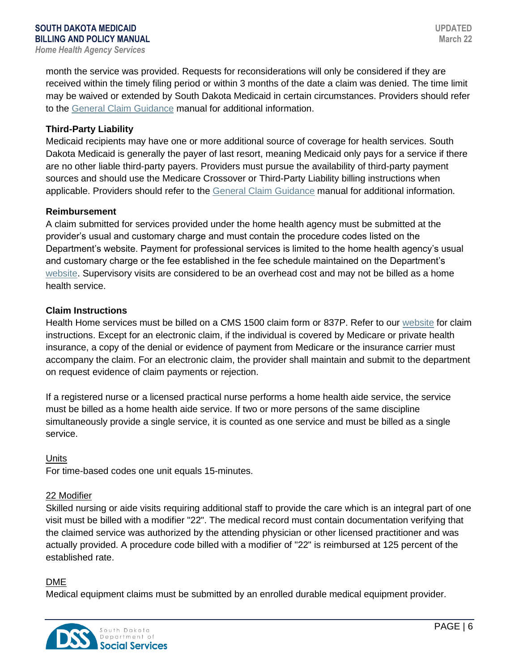month the service was provided. Requests for reconsiderations will only be considered if they are received within the timely filing period or within 3 months of the date a claim was denied. The time limit may be waived or extended by South Dakota Medicaid in certain circumstances. Providers should refer to the [General Claim Guidance](https://dss.sd.gov/docs/medicaid/providers/billingmanuals/General/General_Claim_Guidance.pdf) manual for additional information.

#### **Third-Party Liability**

Medicaid recipients may have one or more additional source of coverage for health services. South Dakota Medicaid is generally the payer of last resort, meaning Medicaid only pays for a service if there are no other liable third-party payers. Providers must pursue the availability of third-party payment sources and should use the Medicare Crossover or Third-Party Liability billing instructions when applicable. Providers should refer to the [General Claim Guidance](https://dss.sd.gov/docs/medicaid/providers/billingmanuals/General/General_Claim_Guidance.pdf) manual for additional information.

#### **Reimbursement**

A claim submitted for services provided under the home health agency must be submitted at the provider's usual and customary charge and must contain the procedure codes listed on the Department's website. Payment for professional services is limited to the home health agency's usual and customary charge or the fee established in the fee schedule maintained on the Department's [website.](https://dss.sd.gov/medicaid/providers/feeschedules/dss/) Supervisory visits are considered to be an overhead cost and may not be billed as a home health service.

#### **Claim Instructions**

Health Home services must be billed on a CMS 1500 claim form or 837P. Refer to our [website](https://dss.sd.gov/medicaid/providers/billingmanuals/) for claim instructions. Except for an electronic claim, if the individual is covered by Medicare or private health insurance, a copy of the denial or evidence of payment from Medicare or the insurance carrier must accompany the claim. For an electronic claim, the provider shall maintain and submit to the department on request evidence of claim payments or rejection.

If a registered nurse or a licensed practical nurse performs a home health aide service, the service must be billed as a home health aide service. If two or more persons of the same discipline simultaneously provide a single service, it is counted as one service and must be billed as a single service.

#### Units

For time-based codes one unit equals 15-minutes.

#### 22 Modifier

Skilled nursing or aide visits requiring additional staff to provide the care which is an integral part of one visit must be billed with a modifier "22". The medical record must contain documentation verifying that the claimed service was authorized by the attending physician or other licensed practitioner and was actually provided. A procedure code billed with a modifier of "22" is reimbursed at 125 percent of the established rate.

#### DME

Medical equipment claims must be submitted by an enrolled durable medical equipment provider.

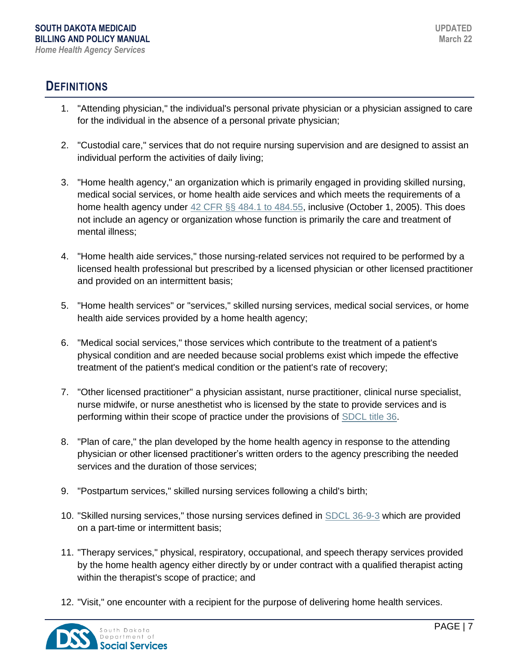## **DEFINITIONS**

- 1. "Attending physician," the individual's personal private physician or a physician assigned to care for the individual in the absence of a personal private physician;
- 2. "Custodial care," services that do not require nursing supervision and are designed to assist an individual perform the activities of daily living;
- 3. "Home health agency," an organization which is primarily engaged in providing skilled nursing, medical social services, or home health aide services and which meets the requirements of a home health agency under [42 CFR §§ 484.1 to 484.55,](https://www.ecfr.gov/cgi-bin/text-idx?SID=6574e177e6652418a06a37d28b32ccfe&mc=true&node=pt42.5.484&rgn=div5) inclusive (October 1, 2005). This does not include an agency or organization whose function is primarily the care and treatment of mental illness;
- 4. "Home health aide services," those nursing-related services not required to be performed by a licensed health professional but prescribed by a licensed physician or other licensed practitioner and provided on an intermittent basis;
- 5. "Home health services" or "services," skilled nursing services, medical social services, or home health aide services provided by a home health agency;
- 6. "Medical social services," those services which contribute to the treatment of a patient's physical condition and are needed because social problems exist which impede the effective treatment of the patient's medical condition or the patient's rate of recovery;
- 7. "Other licensed practitioner" a physician assistant, nurse practitioner, clinical nurse specialist, nurse midwife, or nurse anesthetist who is licensed by the state to provide services and is performing within their scope of practice under the provisions of [SDCL title 36.](http://sdlegislature.gov/Statutes/Codified_Laws/DisplayStatute.aspx?Type=Statute&Statute=36-4A-26.1)
- 8. "Plan of care," the plan developed by the home health agency in response to the attending physician or other licensed practitioner's written orders to the agency prescribing the needed services and the duration of those services;
- 9. "Postpartum services," skilled nursing services following a child's birth;
- 10. "Skilled nursing services," those nursing services defined in [SDCL 36-9-3](http://sdlegislature.gov/Statutes/Codified_Laws/DisplayStatute.aspx?Type=Statute&Statute=36-9-3) which are provided on a part-time or intermittent basis;
- 11. "Therapy services," physical, respiratory, occupational, and speech therapy services provided by the home health agency either directly by or under contract with a qualified therapist acting within the therapist's scope of practice; and
- 12. "Visit," one encounter with a recipient for the purpose of delivering home health services.